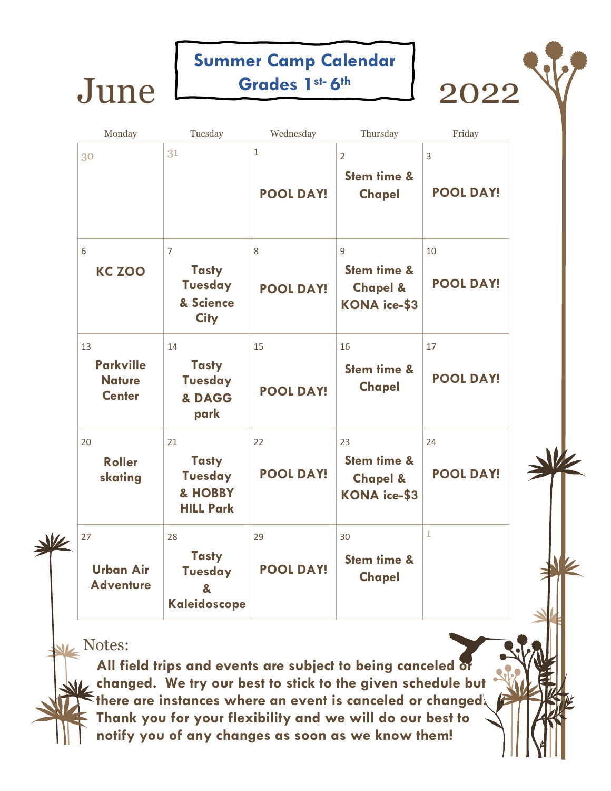## June <del>Grades 1st 6th</del> 2022 Summer Camp Calendar Grades 1st-6th



Monday Tuesday Wednesday Thursday Friday 30  $31$  1 2 3 Stem time & Chapel POOL DAY! POOL DAY! 6 7 8 9 10 KC ZOO Tasty Stem time & POOL DAY! Tuesday Chapel & POOL DAY! & Science KONA ice-\$3 **City** 13 14 15 16 17 Parkville **Tasty** Stem time & Chapel POOL DAY! **Nature** Tuesday POOL DAY! **Center** & DAGG park 20 24 22 23 24  $\frac{1}{2}$ **Tasty** Stem time & Roller POOL DAY! POOL DAY! Tuesday skating Chapel & & HOBBY KONA ice-\$3 HILL Park 27 28 29 30  $\vert$  29 30  $\vert$  1  $\frac{1}{2}$ **Tasty** Stem time & Urban Air POOL DAY! **Tuesday Chapel Adventure** & Kaleidoscope

**Notes:** 

All field trips and events are subject to being canceled  $\delta$ changed. We try our best to stick to the given schedule but there are instances where an event is canceled or changed. Thank you for your flexibility and we will do our best to notify you of any changes as soon as we know them!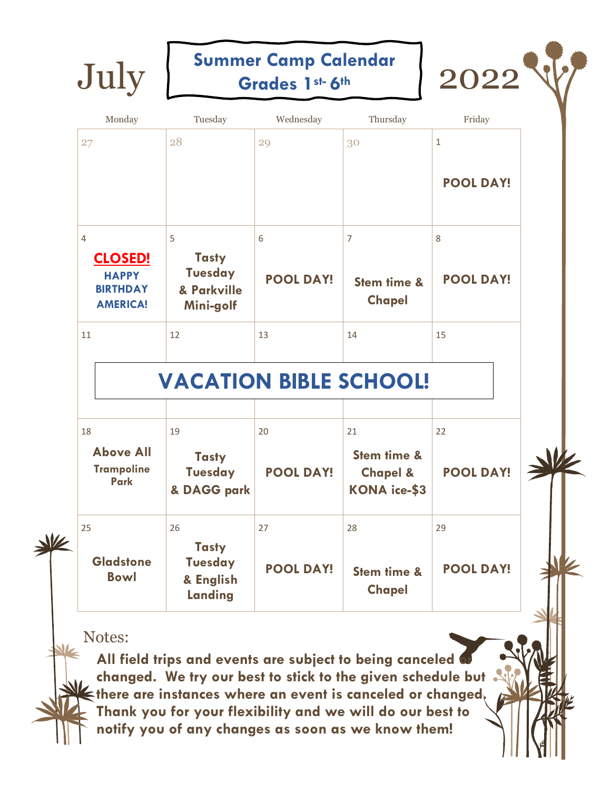Summer Camp Calendar Grades 1st-6th



W

| 4                                                                    | 5                                                          | 6                | $\overline{7}$                                            | 8                |   |
|----------------------------------------------------------------------|------------------------------------------------------------|------------------|-----------------------------------------------------------|------------------|---|
| <b>CLOSED!</b><br><b>HAPPY</b><br><b>BIRTHDAY</b><br><b>AMERICA!</b> | <b>Tasty</b><br><b>Tuesday</b><br>& Parkville<br>Mini-golf | <b>POOL DAY!</b> | Stem time &<br><b>Chapel</b>                              | <b>POOL DAY!</b> |   |
| 11                                                                   | 12                                                         | 13               | 14                                                        | 15               |   |
|                                                                      | <b>VACATION BIBLE SCHOOL!</b>                              |                  |                                                           |                  |   |
| 18                                                                   | 19                                                         | 20               | 21                                                        | 22               |   |
| <b>Above All</b><br><b>Trampoline</b><br><b>Park</b>                 | <b>Tasty</b><br><b>Tuesday</b><br>& DAGG park              | <b>POOL DAY!</b> | Stem time &<br><b>Chapel &amp;</b><br><b>KONA</b> ice-\$3 | <b>POOL DAY!</b> | Ê |
| 25                                                                   | 26                                                         | 27               | 28                                                        | 29               |   |

**Gladstone** Bowl **Tasty** Tuesday & English Landing POOL DAY! | Stem time & **Chapel** POOL DAY!

Notes:

All field trips and events are subject to being canceled changed. We try our best to stick to the given schedule but there are instances where an event is canceled or changed. Thank you for your flexibility and we will do our best to notify you of any changes as soon as we know them!